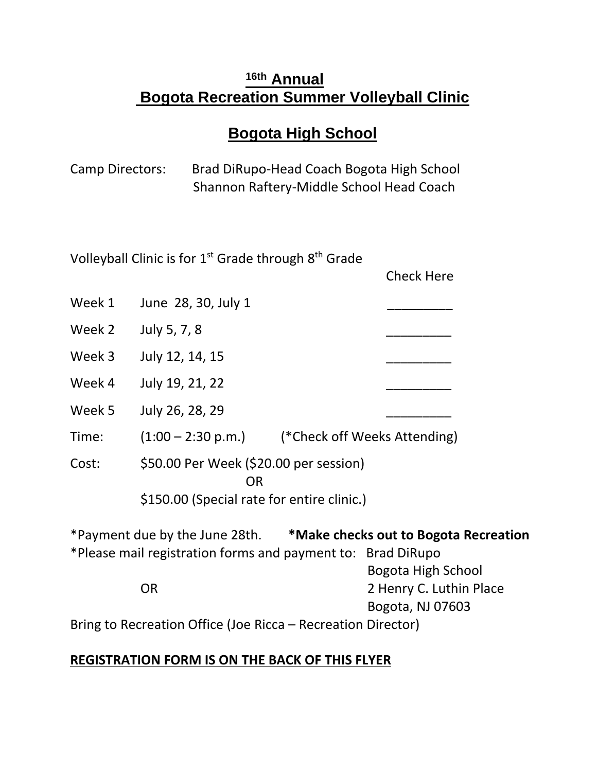## **16th Annual Bogota Recreation Summer Volleyball Clinic**

# **Bogota High School**

| Camp Directors: | Brad DiRupo-Head Coach Bogota High School |
|-----------------|-------------------------------------------|
|                 | Shannon Raftery-Middle School Head Coach  |

| Volleyball Clinic is for $1st$ Grade through $8th$ Grade             |                                                             |                                                           |                                                                   |  |  |  |
|----------------------------------------------------------------------|-------------------------------------------------------------|-----------------------------------------------------------|-------------------------------------------------------------------|--|--|--|
|                                                                      |                                                             |                                                           | <b>Check Here</b>                                                 |  |  |  |
| Week 1                                                               | June 28, 30, July 1                                         |                                                           |                                                                   |  |  |  |
| Week 2                                                               | July 5, 7, 8                                                |                                                           |                                                                   |  |  |  |
| Week 3                                                               | July 12, 14, 15                                             |                                                           |                                                                   |  |  |  |
| Week 4                                                               | July 19, 21, 22                                             |                                                           |                                                                   |  |  |  |
| Week 5                                                               | July 26, 28, 29                                             |                                                           |                                                                   |  |  |  |
| Time:                                                                |                                                             | $(1:00 - 2:30 \text{ p.m.})$ (*Check off Weeks Attending) |                                                                   |  |  |  |
| Cost:                                                                | \$50.00 Per Week (\$20.00 per session)<br>OR                |                                                           |                                                                   |  |  |  |
| \$150.00 (Special rate for entire clinic.)                           |                                                             |                                                           |                                                                   |  |  |  |
| *Payment due by the June 28th. *Make checks out to Bogota Recreation |                                                             |                                                           |                                                                   |  |  |  |
|                                                                      | *Please mail registration forms and payment to: Brad DiRupo |                                                           |                                                                   |  |  |  |
|                                                                      | OR                                                          |                                                           | Bogota High School<br>2 Henry C. Luthin Place<br>Bogota, NJ 07603 |  |  |  |

Bring to Recreation Office (Joe Ricca – Recreation Director)

## **REGISTRATION FORM IS ON THE BACK OF THIS FLYER**